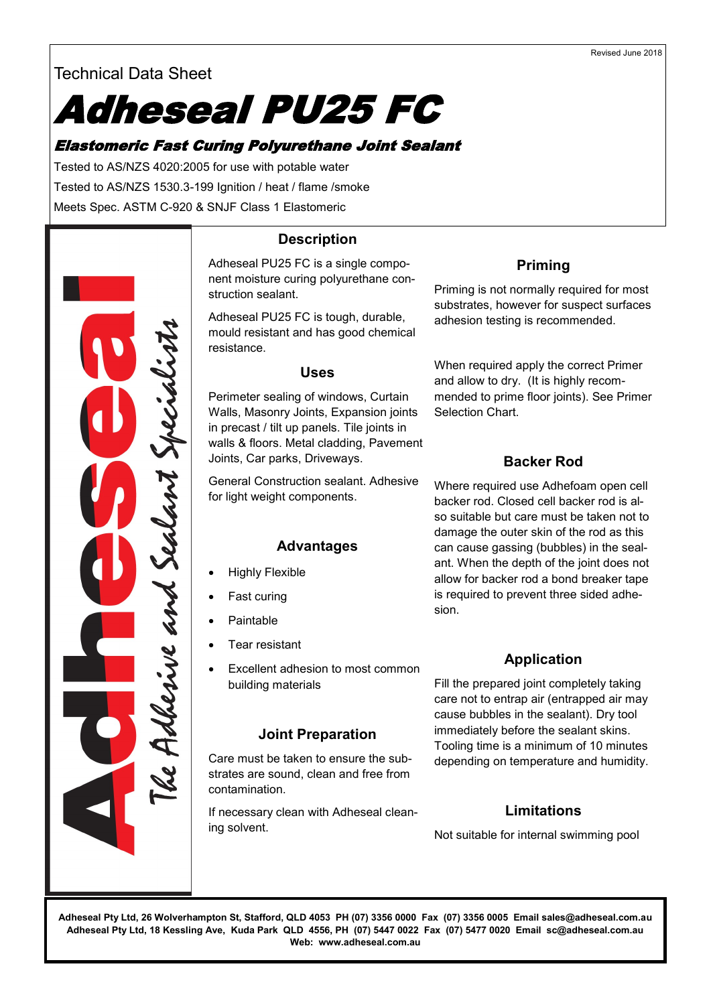## Technical Data Sheet

# Adheseal PU25 FC

## Elastomeric Fast Curing Polyurethane Joint Sealant

Tested to AS/NZS 4020:2005 for use with potable water Tested to AS/NZS 1530.3-199 Ignition / heat / flame /smoke Meets Spec. ASTM C-920 & SNJF Class 1 Elastomeric



## **Description**

Adheseal PU25 FC is a single component moisture curing polyurethane construction sealant.

Adheseal PU25 FC is tough, durable, mould resistant and has good chemical resistance.

#### **Uses**

Perimeter sealing of windows, Curtain Walls, Masonry Joints, Expansion joints in precast / tilt up panels. Tile joints in walls & floors. Metal cladding, Pavement Joints, Car parks, Driveways.

General Construction sealant. Adhesive for light weight components.

#### **Advantages**

- Highly Flexible
- Fast curing
- **Paintable**
- Tear resistant
- Excellent adhesion to most common building materials

#### **Joint Preparation**

Care must be taken to ensure the substrates are sound, clean and free from contamination.

If necessary clean with Adheseal cleaning solvent.

## **Priming**

Priming is not normally required for most substrates, however for suspect surfaces adhesion testing is recommended.

When required apply the correct Primer and allow to dry. (It is highly recommended to prime floor joints). See Primer Selection Chart.

#### **Backer Rod**

Where required use Adhefoam open cell backer rod. Closed cell backer rod is also suitable but care must be taken not to damage the outer skin of the rod as this can cause gassing (bubbles) in the sealant. When the depth of the joint does not allow for backer rod a bond breaker tape is required to prevent three sided adhesion.

## **Application**

Fill the prepared joint completely taking care not to entrap air (entrapped air may cause bubbles in the sealant). Dry tool immediately before the sealant skins. Tooling time is a minimum of 10 minutes depending on temperature and humidity.

## **Limitations**

Not suitable for internal swimming pool

**Adheseal Pty Ltd, 26 Wolverhampton St, Stafford, QLD 4053 PH (07) 3356 0000 Fax (07) 3356 0005 Email sales@adheseal.com.au Adheseal Pty Ltd, 18 Kessling Ave, Kuda Park QLD 4556, PH (07) 5447 0022 Fax (07) 5477 0020 Email sc@adheseal.com.au Web: www.adheseal.com.au**

#### Revised June 2018